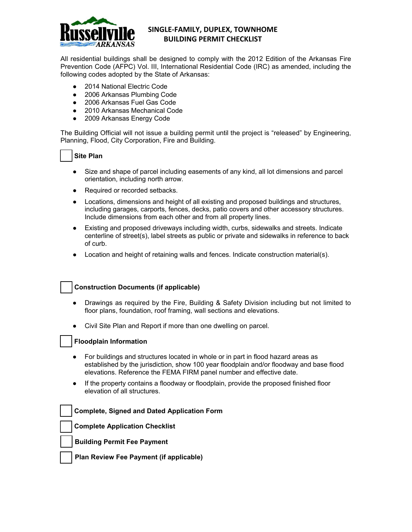

# **SINGLE-FAMILY, DUPLEX, TOWNHOME BUILDING PERMIT CHECKLIST**

All residential buildings shall be designed to comply with the 2012 Edition of the Arkansas Fire Prevention Code (AFPC) Vol. III, International Residential Code (IRC) as amended, including the following codes adopted by the State of Arkansas:

- 2014 National Electric Code
- 2006 Arkansas Plumbing Code
- 2006 Arkansas Fuel Gas Code
- 2010 Arkansas Mechanical Code
- 2009 Arkansas Energy Code

The Building Official will not issue a building permit until the project is "released" by Engineering, Planning, Flood, City Corporation, Fire and Building.

### **Site Plan**

- Size and shape of parcel including easements of any kind, all lot dimensions and parcel orientation, including north arrow.
- Required or recorded setbacks.
- Locations, dimensions and height of all existing and proposed buildings and structures, including garages, carports, fences, decks, patio covers and other accessory structures. Include dimensions from each other and from all property lines.
- Existing and proposed driveways including width, curbs, sidewalks and streets. Indicate centerline of street(s), label streets as public or private and sidewalks in reference to back of curb.
- Location and height of retaining walls and fences. Indicate construction material(s).

## **Construction Documents (if applicable)**

- Drawings as required by the Fire, Building & Safety Division including but not limited to floor plans, foundation, roof framing, wall sections and elevations.
- Civil Site Plan and Report if more than one dwelling on parcel.

## **Floodplain Information**

- For buildings and structures located in whole or in part in flood hazard areas as established by the jurisdiction, show 100 year floodplain and/or floodway and base flood elevations. Reference the FEMA FIRM panel number and effective date.
- If the property contains a floodway or floodplain, provide the proposed finished floor elevation of all structures.

#### **Complete, Signed and Dated Application Form**

 **Complete Application Checklist**

 **Building Permit Fee Payment**

 **Plan Review Fee Payment (if applicable)**